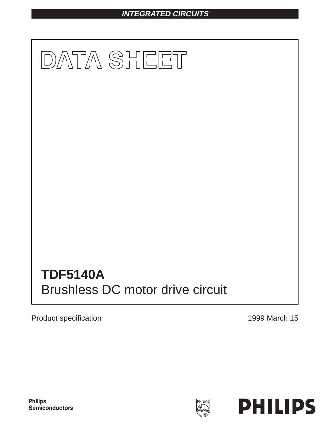# **INTEGRATED CIRCUITS**



Product specification **1999** March 15

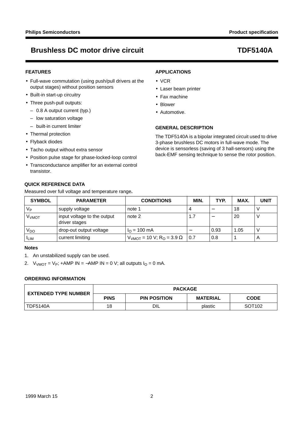## **FEATURES**

- Full-wave commutation (using push/pull drivers at the output stages) without position sensors
- Built-in start-up circuitry
- Three push-pull outputs:
	- 0.8 A output current (typ.)
	- low saturation voltage
	- built-in current limiter
- Thermal protection
- Flyback diodes
- Tacho output without extra sensor
- Position pulse stage for phase-locked-loop control
- Transconductance amplifier for an external control transistor.

## **QUICK REFERENCE DATA**

Measured over full voltage and temperature range**.**

## **APPLICATIONS**

- VCR
- Laser beam printer
- Fax machine
- Blower
- Automotive.

## **GENERAL DESCRIPTION**

The TDF5140A is a bipolar integrated circuit used to drive 3-phase brushless DC motors in full-wave mode. The device is sensorless (saving of 3 hall-sensors) using the back-EMF sensing technique to sense the rotor position.

| <b>SYMBOL</b>           | <b>PARAMETER</b>                             | <b>CONDITIONS</b>                             | MIN. | TYP. | <b>MAX</b> | <b>UNIT</b> |
|-------------------------|----------------------------------------------|-----------------------------------------------|------|------|------------|-------------|
| Vр                      | supply voltage                               | note 1                                        |      |      | 18         |             |
| <b>V<sub>VMOT</sub></b> | input voltage to the output<br>driver stages | note 2                                        | 1.7  |      | 20         |             |
| V <sub>DO</sub>         | drop-out output voltage                      | $I_{\Omega}$ = 100 mA                         |      | 0.93 | 1.05       |             |
| <sup>I</sup> LIM        | current limiting                             | $VVMOT$ = 10 V; R <sub>O</sub> = 3.9 $\Omega$ | 0.7  | 0.8  |            |             |

### **Notes**

- 1. An unstabilized supply can be used.
- 2.  $V<sub>VMOT</sub> = V<sub>P</sub>; +AMP IN = -AMP IN = 0 V; all outputs I<sub>O</sub> = 0 mA.$

## **ORDERING INFORMATION**

| <b>EXTENDED TYPE NUMBER</b> | <b>PACKAGE</b> |                     |                 |                    |  |
|-----------------------------|----------------|---------------------|-----------------|--------------------|--|
|                             | <b>PINS</b>    | <b>PIN POSITION</b> | <b>MATERIAL</b> | <b>CODE</b>        |  |
| <b>TDF5140A</b>             | 18             | DIL                 | plastic         | SOT <sub>102</sub> |  |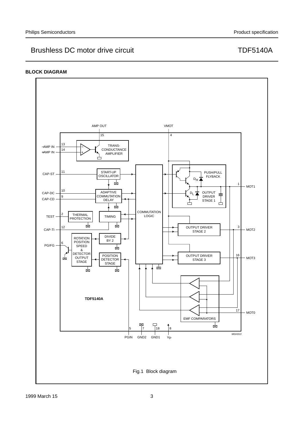## **BLOCK DIAGRAM**

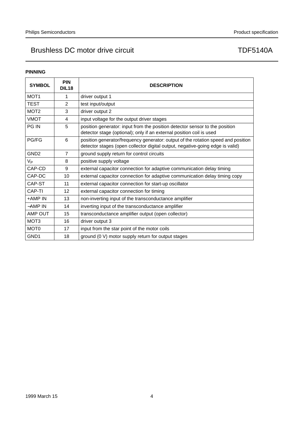## **PINNING**

| <b>SYMBOL</b>    | <b>PIN</b><br><b>DIL18</b> | <b>DESCRIPTION</b>                                                                                                                                                 |
|------------------|----------------------------|--------------------------------------------------------------------------------------------------------------------------------------------------------------------|
| MOT <sub>1</sub> | 1                          | driver output 1                                                                                                                                                    |
| TEST             | 2                          | test input/output                                                                                                                                                  |
| MOT <sub>2</sub> | 3                          | driver output 2                                                                                                                                                    |
| <b>VMOT</b>      | 4                          | input voltage for the output driver stages                                                                                                                         |
| <b>PG IN</b>     | 5                          | position generator: input from the position detector sensor to the position<br>detector stage (optional); only if an external position coil is used                |
| <b>PG/FG</b>     | 6                          | position generator/frequency generator: output of the rotation speed and position<br>detector stages (open collector digital output, negative-going edge is valid) |
| GND <sub>2</sub> | $\overline{7}$             | ground supply return for control circuits                                                                                                                          |
| V <sub>Р</sub>   | 8                          | positive supply voltage                                                                                                                                            |
| CAP-CD           | 9                          | external capacitor connection for adaptive communication delay timing                                                                                              |
| CAP-DC           | 10                         | external capacitor connection for adaptive communication delay timing copy                                                                                         |
| CAP-ST           | 11                         | external capacitor connection for start-up oscillator                                                                                                              |
| CAP-TI           | 12                         | external capacitor connection for timing                                                                                                                           |
| +AMP IN          | 13                         | non-inverting input of the transconductance amplifier                                                                                                              |
| -AMP IN          | 14                         | inverting input of the transconductance amplifier                                                                                                                  |
| AMP OUT          | 15                         | transconductance amplifier output (open collector)                                                                                                                 |
| MOT <sub>3</sub> | 16                         | driver output 3                                                                                                                                                    |
| MOT <sub>0</sub> | 17                         | input from the star point of the motor coils                                                                                                                       |
| GND1             | 18                         | ground (0 V) motor supply return for output stages                                                                                                                 |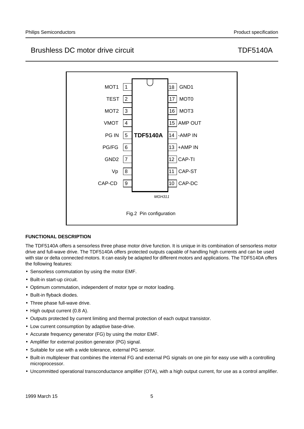

## **FUNCTIONAL DESCRIPTION**

The TDF5140A offers a sensorless three phase motor drive function. It is unique in its combination of sensorless motor drive and full-wave drive. The TDF5140A offers protected outputs capable of handling high currents and can be used with star or delta connected motors. It can easily be adapted for different motors and applications. The TDF5140A offers the following features:

- Sensorless commutation by using the motor EMF.
- Built-in start-up circuit.
- Optimum commutation, independent of motor type or motor loading.
- Built-in flyback diodes.
- Three phase full-wave drive.
- High output current (0.8 A).
- Outputs protected by current limiting and thermal protection of each output transistor.
- Low current consumption by adaptive base-drive.
- Accurate frequency generator (FG) by using the motor EMF.
- Amplifier for external position generator (PG) signal.
- Suitable for use with a wide tolerance, external PG sensor.
- Built-in multiplexer that combines the internal FG and external PG signals on one pin for easy use with a controlling microprocessor.
- Uncommitted operational transconductance amplifier (OTA), with a high output current, for use as a control amplifier.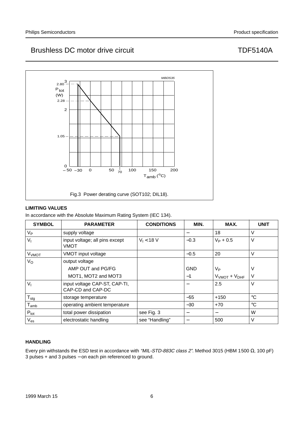# Fig.3 Power derating curve (SOT102; DIL18). Ptot (W)  $-50 - 30$  $2.80<sup>3</sup>$ 2  $\overline{0}$ 0 200 50 100 150 <sup>70</sup> 30 MBD535  $T_{amb} (°C)$  $2.28$ 1.05

## **LIMITING VALUES**

In accordance with the Absolute Maximum Rating System (IEC 134).

| <b>SYMBOL</b>               | <b>PARAMETER</b>                                   | <b>CONDITIONS</b> | MIN.       | MAX.                             | <b>UNIT</b> |
|-----------------------------|----------------------------------------------------|-------------------|------------|----------------------------------|-------------|
| $V_{\mathsf{P}}$            | supply voltage                                     |                   |            | 18                               | V           |
| $V_{1}$                     | input voltage; all pins except<br>VMOT             | $V_1 < 18 V$      | $-0.3$     | $V_P + 0.5$                      | V           |
| <b>V<sub>VMOT</sub></b>     | VMOT input voltage                                 |                   | $-0.5$     | 20                               | V           |
| $V_{\rm O}$                 | output voltage                                     |                   |            |                                  |             |
|                             | AMP OUT and PG/FG                                  |                   | <b>GND</b> | V <sub>P</sub>                   | V           |
|                             | MOT1, MOT2 and MOT3                                |                   | $-1$       | $VVMOT + VDHF$                   | V           |
| $V_{1}$                     | input voltage CAP-ST, CAP-TI,<br>CAP-CD and CAP-DC |                   |            | 2.5                              | V           |
| $T_{\text{stg}}$            | storage temperature                                |                   | $-55$      | $+150$                           | $^{\circ}C$ |
| $\mathsf{T}_{\mathsf{amb}}$ | operating ambient temperature                      |                   | $-30$      | $+70$                            | $^{\circ}C$ |
| $P_{\text{tot}}$            | total power dissipation                            | see Fig. 3        | -          | $\overbrace{\phantom{12322111}}$ | W           |
| $\rm V_{es}$                | electrostatic handling                             | see "Handling"    |            | 500                              | V           |

## **HANDLING**

Every pin withstands the ESD test in accordance with "MIL-STD-883C class 2". Method 3015 (HBM 1500 Ω, 100 pF) 3 pulses + and 3 pulses − on each pin referenced to ground.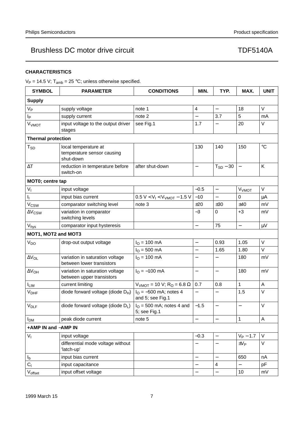## **CHARACTERISTICS**

 $V_P = 14.5$  V;  $T_{amb} = 25$  °C; unless otherwise specified.

| <b>SYMBOL</b>                                                                                 | <b>PARAMETER</b>                                             | <b>CONDITIONS</b>                              | MIN.                     | TYP.                     | MAX.                     | <b>UNIT</b> |
|-----------------------------------------------------------------------------------------------|--------------------------------------------------------------|------------------------------------------------|--------------------------|--------------------------|--------------------------|-------------|
| <b>Supply</b>                                                                                 |                                                              |                                                |                          |                          |                          |             |
| <b>V<sub>P</sub></b>                                                                          | supply voltage                                               | note 1                                         | $\overline{4}$           | $\qquad \qquad -$        | 18                       | $\vee$      |
| Ιp                                                                                            | supply current                                               | note 2                                         |                          | 3.7                      | 5                        | mA          |
| <b>V<sub>VMOT</sub></b>                                                                       | input voltage to the output driver<br>stages                 | see Fig.1                                      | 1.7                      | —                        | 20                       | V           |
| <b>Thermal protection</b>                                                                     |                                                              |                                                |                          |                          |                          |             |
| local temperature at<br>$\mathsf{T}_{\mathsf{SD}}$<br>temperature sensor causing<br>shut-down |                                                              |                                                | 130                      | 140                      | 150                      | $\circ$ C   |
| $\Delta\mathsf{T}$                                                                            | reduction in temperature before<br>switch-on                 | after shut-down                                | —                        | $T_{SD} - 30$            | $\overline{\phantom{0}}$ | Κ           |
| MOT0; centre tap                                                                              |                                                              |                                                |                          |                          |                          |             |
| $V_{I}$                                                                                       | input voltage                                                |                                                | $-0.5$                   | $\qquad \qquad -$        | V <sub>VMOT</sub>        | V           |
| I <sub>I</sub>                                                                                | input bias current                                           | $0.5 V < V_1 < V_{VMOT} - 1.5 V$               | $-10$                    |                          | 0                        | μA          |
| V <sub>CSW</sub>                                                                              | comparator switching level                                   | note 3                                         | ±20                      | ±30                      | ±40                      | mV          |
| $\Delta V_{\text{CSW}}$                                                                       | variation in comparator<br>switching levels                  |                                                | $-3$                     | $\mathbf 0$              | $+3$                     | mV          |
| $V_{\text{hys}}$                                                                              | comparator input hysteresis                                  |                                                | $\overline{\phantom{0}}$ | 75                       | $\overline{\phantom{0}}$ | $\mu$ V     |
| MOT1, MOT2 and MOT3                                                                           |                                                              |                                                |                          |                          |                          |             |
| V <sub>DO</sub>                                                                               | drop-out output voltage                                      | $I_{\rm O} = 100 \text{ mA}$                   | $\overline{\phantom{0}}$ | 0.93                     | 1.05                     | V           |
|                                                                                               |                                                              | $I_{O} = 500$ mA                               | $\overline{\phantom{0}}$ | 1.65                     | 1.80                     | V           |
| $\Delta V_{OL}$                                                                               | variation in saturation voltage<br>between lower transistors | $I_{\Omega}$ = 100 mA                          |                          |                          | 180                      | mV          |
| $\Delta V_{OH}$                                                                               | variation in saturation voltage<br>between upper transistors | $I_{O} = -100$ mA                              | $\qquad \qquad -$        | $\qquad \qquad -$        | 180                      | mV          |
| $I_{LIM}$                                                                                     | current limiting                                             | $VVMOT$ = 10 V; R <sub>O</sub> = 6.8 Ω         | 0.7                      | 0.8                      | 1                        | Α           |
| $V_{\text{DHF}}$                                                                              | diode forward voltage (diode $D_H$ )                         | $I_{O} = -500$ mA; notes 4<br>and 5; see Fig.1 |                          | —                        | 1.5                      | $\vee$      |
| $V_{DLF}$                                                                                     | diode forward voltage (diode DL)                             | $IO$ = 500 mA; notes 4 and<br>5; see Fig.1     | $-1.5$                   | —                        | $\overline{\phantom{0}}$ | V           |
| I <sub>DM</sub>                                                                               | peak diode current                                           | note 5                                         |                          |                          | $\mathbf 1$              | A           |
| +AMP IN and -AMP IN                                                                           |                                                              |                                                |                          |                          |                          |             |
| $V_{I}$                                                                                       | input voltage                                                |                                                | $-0.3$                   | $\qquad \qquad -$        | $V_P - 1.7$              | V           |
|                                                                                               | differential mode voltage without<br>'latch-up'              |                                                |                          | —                        | $\pm V_P$                | V           |
| $I_b$                                                                                         | input bias current                                           |                                                | $\overline{\phantom{0}}$ | $\qquad \qquad -$        | 650                      | nA          |
| C <sub>1</sub>                                                                                | input capacitance                                            |                                                |                          | $\overline{4}$           |                          | pF          |
| $V_{offset}$                                                                                  | input offset voltage                                         |                                                | $\overline{\phantom{0}}$ | $\overline{\phantom{0}}$ | 10                       | mV          |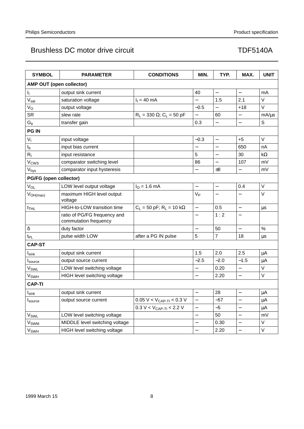| <b>SYMBOL</b>               | <b>PARAMETER</b>                                      | <b>CONDITIONS</b>                           | MIN.                     | TYP.                     | MAX.                     | <b>UNIT</b> |  |
|-----------------------------|-------------------------------------------------------|---------------------------------------------|--------------------------|--------------------------|--------------------------|-------------|--|
| AMP OUT (open collector)    |                                                       |                                             |                          |                          |                          |             |  |
| łŗ.                         | output sink current                                   |                                             | 40                       | $\overline{\phantom{0}}$ | $\qquad \qquad -$        | mA          |  |
| $V_{sat}$                   | saturation voltage                                    | $I_1 = 40$ mA                               |                          | 1.5                      | 2.1                      | V           |  |
| $V_{\rm O}$                 | output voltage                                        |                                             | $-0.5$                   | $\qquad \qquad -$        | $+18$                    | V           |  |
| <b>SR</b>                   | slew rate                                             | $R_L = 330 \Omega$ ; C <sub>L</sub> = 50 pF |                          | 60                       |                          | mA/µs       |  |
| G <sub>tr</sub>             | transfer gain                                         |                                             | 0.3                      | $\qquad \qquad -$        | $\overline{\phantom{0}}$ | $\mathsf S$ |  |
| <b>PG IN</b>                |                                                       |                                             |                          |                          |                          |             |  |
| V <sub>1</sub>              | input voltage                                         |                                             | $-0.3$                   |                          | $+5$                     | V           |  |
| $\mathsf{I}_\mathsf{b}$     | input bias current                                    |                                             | $\overline{\phantom{0}}$ |                          | 650                      | nA          |  |
| $R_{I}$                     | input resistance                                      |                                             | 5                        |                          | 30                       | $k\Omega$   |  |
| V <sub>CWS</sub>            | comparator switching level                            |                                             | 86                       |                          | 107                      | mV          |  |
| V <sub>hys</sub>            | comparator input hysteresis                           |                                             |                          | ±8                       |                          | mV          |  |
| PG/FG (open collector)      |                                                       |                                             |                          |                          |                          |             |  |
| $V_{OL}$                    | LOW level output voltage                              | $I_{O} = 1.6$ mA                            | $\overline{\phantom{0}}$ | $\overline{\phantom{0}}$ | 0.4                      | V           |  |
| $V_{OH(max)}$               | maximum HIGH level output<br>voltage                  |                                             | $V_{P}$                  |                          |                          | V           |  |
| $t_{\text{THL}}$            | HIGH-to-LOW transition time                           | $C_L = 50$ pF; $R_L = 10$ k $\Omega$        | $\qquad \qquad -$        | 0.5                      | $\overline{\phantom{0}}$ | $\mu s$     |  |
|                             | ratio of PG/FG frequency and<br>commutation frequency |                                             |                          | 1:2                      | $\overline{\phantom{0}}$ |             |  |
| $\delta$                    | duty factor                                           |                                             |                          | 50                       |                          | %           |  |
| t <sub>PL</sub>             | pulse width LOW                                       | after a PG IN pulse                         | 5                        | $\overline{7}$           | 18                       | $\mu s$     |  |
| <b>CAP-ST</b>               |                                                       |                                             |                          |                          |                          |             |  |
| $I_{\text{sink}}$           | output sink current                                   |                                             | 1.5                      | 2.0                      | 2.5                      | μA          |  |
| I <sub>source</sub>         | output source current                                 |                                             | $-2.5$                   | $-2.0$                   | $-1.5$                   | μA          |  |
| $\mathsf{V}_{\mathsf{SWL}}$ | LOW level switching voltage                           |                                             | $\overline{\phantom{0}}$ | 0.20                     |                          | V           |  |
| <b>V<sub>SWH</sub></b>      | HIGH level switching voltage                          |                                             | $\qquad \qquad -$        | 2.20                     | $\qquad \qquad -$        | V           |  |
| <b>CAP-TI</b>               |                                                       |                                             |                          |                          |                          |             |  |
| $I_{\text{sink}}$           | output sink current                                   |                                             |                          | 28                       | $\overline{\phantom{0}}$ | $\mu$ A     |  |
| Isource                     | output source current                                 | $0.05 V < V_{CAP-TI} < 0.3 V$               | $\qquad \qquad -$        | $-57$                    | $\overline{\phantom{0}}$ | μA          |  |
|                             |                                                       | $0.3 V < V_{CAP-TI} < 2.2 V$                | $\qquad \qquad -$        | $-5$                     |                          | μA          |  |
| $V_{SWL}$                   | LOW level switching voltage                           |                                             | $\qquad \qquad -$        | 50                       | $\qquad \qquad -$        | mV          |  |
| Vswm                        | MIDDLE level switching voltage                        |                                             |                          | 0.30                     |                          | V           |  |
| $V_{SWH}$                   | HIGH level switching voltage                          |                                             | —                        | 2.20                     | —                        | V           |  |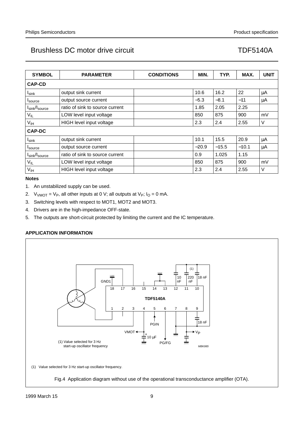| <b>SYMBOL</b>                       | <b>PARAMETER</b>                | <b>CONDITIONS</b> | MIN.    | TYP.    | MAX.    | <b>UNIT</b> |
|-------------------------------------|---------------------------------|-------------------|---------|---------|---------|-------------|
| <b>CAP-CD</b>                       |                                 |                   |         |         |         |             |
| $I_{\text{sink}}$                   | output sink current             |                   | 10.6    | 16.2    | 22      | μA          |
| I <sub>source</sub>                 | output source current           |                   | $-5.3$  | $-8.1$  | $-11$   | μA          |
| $I_{sink}/I_{source}$               | ratio of sink to source current |                   | 1.85    | 2.05    | 2.25    |             |
| $V_{IL}$                            | LOW level input voltage         |                   | 850     | 875     | 900     | mV          |
| V <sub>IH</sub>                     | HIGH level input voltage        | 2.3               | 2.4     | 2.55    | V       |             |
| <b>CAP-DC</b>                       |                                 |                   |         |         |         |             |
| $I_{\text{sink}}$                   | output sink current             |                   | 10.1    | 15.5    | 20.9    | μA          |
| I <sub>source</sub>                 | output source current           |                   | $-20.9$ | $-15.5$ | $-10.1$ | μA          |
| $I_{\text{sink}}/I_{\text{source}}$ | ratio of sink to source current |                   | 0.9     | 1.025   | 1.15    |             |
| $V_{IL}$                            | LOW level input voltage         |                   | 850     | 875     | 900     | mV          |
| V <sub>IH</sub>                     | <b>HIGH</b> level input voltage |                   | 2.3     | 2.4     | 2.55    | V           |

## **Notes**

- 1. An unstabilized supply can be used.
- 2.  $V<sub>VMOT</sub> = V<sub>P</sub>$ , all other inputs at 0 V; all outputs at V<sub>P</sub>;  $I<sub>O</sub> = 0$  mA.
- 3. Switching levels with respect to MOT1, MOT2 and MOT3.
- 4. Drivers are in the high-impedance OFF-state.
- 5. The outputs are short-circuit protected by limiting the current and the IC temperature.

## **APPLICATION INFORMATION**

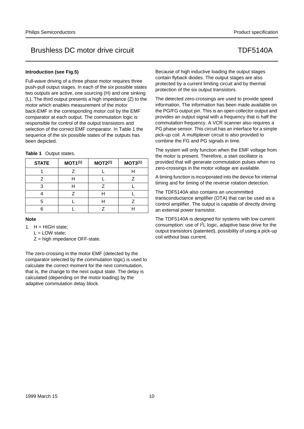### **Introduction (see Fig.5)**

Full-wave driving of a three phase motor requires three push-pull output stages. In each of the six possible states two outputs are active, one sourcing (H) and one sinking (L). The third output presents a high impedance (Z) to the motor which enables measurement of the motor back-EMF in the corresponding motor coil by the EMF comparator at each output. The commutation logic is responsible for control of the output transistors and selection of the correct EMF comparator. In Table 1 the sequence of the six possible states of the outputs has been depicted.

| Table 1 Output states. |  |  |
|------------------------|--|--|
|------------------------|--|--|

| <b>STATE</b> | MOT1 <sup>(1)</sup> | MOT2 <sup>(1)</sup> | MOT3 <sup>(1)</sup> |
|--------------|---------------------|---------------------|---------------------|
|              |                     |                     |                     |
|              |                     |                     |                     |
|              |                     | 7                   |                     |
|              | 7                   |                     |                     |
| 5            |                     |                     |                     |
|              |                     |                     |                     |

**Note**

- 1.  $H = HIGH state$ ;
	- $L = LOW state$ ;

 $Z =$  high impedance OFF-state.

The zero-crossing in the motor EMF (detected by the comparator selected by the commutation logic) is used to calculate the correct moment for the next commutation, that is, the change to the next output state. The delay is calculated (depending on the motor loading) by the adaptive commutation delay block.

Because of high inductive loading the output stages contain flyback diodes. The output stages are also protected by a current limiting circuit and by thermal protection of the six output transistors.

The detected zero-crossings are used to provide speed information. The information has been made available on the PG/FG output pin. This is an open collector output and provides an output signal with a frequency that is half the commutation frequency. A VCR scanner also requires a PG phase sensor. This circuit has an interface for a simple pick-up coil. A multiplexer circuit is also provided to combine the FG and PG signals in time.

The system will only function when the EMF voltage from the motor is present. Therefore, a start oscillator is provided that will generate commutation pulses when no zero-crossings in the motor voltage are available.

A timing function is incorporated into the device for internal timing and for timing of the reverse rotation detection.

The TDF5140A also contains an uncommitted transconductance amplifier (OTA) that can be used as a control amplifier. The output is capable of directly driving an external power transistor.

The TDF5140A is designed for systems with low current consumption: use of I2L logic, adaptive base drive for the output transistors (patented), possibility of using a pick-up coil without bias current.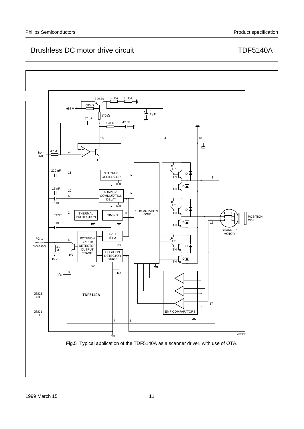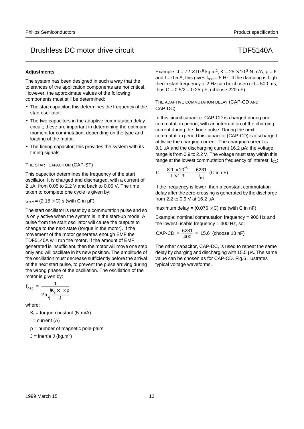### **Adjustments**

The system has been designed in such a way that the tolerances of the application components are not critical. However, the approximate values of the following components must still be determined:

- The start capacitor; this determines the frequency of the start oscillator.
- The two capacitors in the adaptive commutation delay circuit; these are important in determining the optimum moment for commutation, depending on the type and loading of the motor.
- The timing capacitor; this provides the system with its timing signals.

### THE START CAPACITOR (CAP-ST)

This capacitor determines the frequency of the start oscillator. It is charged and discharged, with a current of 2 µA, from 0.05 to 2.2 V and back to 0.05 V. The time taken to complete one cycle is given by:

 $t_{start} = (2.15 \times C)$  s (with C in  $\mu$ F)

The start oscillator is reset by a commutation pulse and so is only active when the system is in the start-up mode. A pulse from the start oscillator will cause the outputs to change to the next state (torque in the motor). If the movement of the motor generates enough EMF the TDF5140A will run the motor. If the amount of EMF generated is insufficient, then the motor will move one step only and will oscillate in its new position. The amplitude of the oscillation must decrease sufficiently before the arrival of the next start pulse, to prevent the pulse arriving during the wrong phase of the oscillation. The oscillation of the motor is given by:

$$
f_{\text{osc}} = \frac{1}{2\pi\sqrt{\frac{K_t \times 1 \times p}{J}}}
$$

where:

 $K_t$  = torque constant (N.m/A)

 $I = current (A)$ 

p = number of magnetic pole-pairs

$$
J =
$$
inertia J (kg.m<sup>2</sup>)

Example:  $J = 72 \times 10^{-6}$  kg.m<sup>2</sup>, K =  $25 \times 10^{-3}$  N.m/A, p = 6 and I = 0.5 A; this gives  $f_{osc} = 5$  Hz. If the damping is high then a start frequency of 2 Hz can be chosen or  $t = 500$  ms, thus  $C = 0.5/2 = 0.25 \mu F$ , (choose 220 nF).

## THE ADAPTIVE COMMUTATION DELAY (CAP-CD AND CAP-DC)

In this circuit capacitor CAP-CD is charged during one commutation period, with an interruption of the charging current during the diode pulse. During the next commutation period this capacitor (CAP-CD) is discharged at twice the charging current. The charging current is 8.1 µA and the discharging current 16.2 µA; the voltage range is from 0.9 to 2.2 V. The voltage must stay within this range at the lowest commutation frequency of interest,  $f_{C1}$ :

$$
C = \frac{8.1 \times 10^{-6}}{f \times 1.3} = \frac{6231}{f_{c1}} (C \text{ in nF})
$$

If the frequency is lower, then a constant commutation delay after the zero-crossing is generated by the discharge from 2.2 to 0.9 V at 16.2 µA.

maximum delay =  $(0.076 \times C)$  ms (with C in nF)

Example: nominal commutation frequency = 900 Hz and the lowest usable frequency  $= 400$  Hz, so:

CAP-CD = 
$$
\frac{6231}{400}
$$
 = 15.6 (choose 18 nF)

The other capacitor, CAP-DC, is used to repeat the same delay by charging and discharging with 15.5 µA. The same value can be chosen as for CAP-CD. Fig.6 illustrates typical voltage waveforms.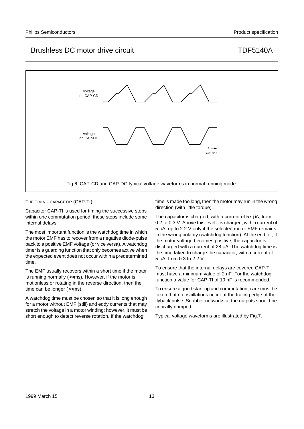

THE TIMING CAPACITOR (CAP-TI)

Capacitor CAP-TI is used for timing the successive steps within one commutation period; these steps include some internal delays.

The most important function is the watchdog time in which the motor EMF has to recover from a negative diode-pulse back to a positive EMF voltage (or vice versa). A watchdog timer is a guarding function that only becomes active when the expected event does not occur within a predetermined time.

The EMF usually recovers within a short time if the motor is running normally  $\leftlt$   $\lt$ ms). However, if the motor is motionless or rotating in the reverse direction, then the time can be longer (>>ms).

A watchdog time must be chosen so that it is long enough for a motor without EMF (still) and eddy currents that may stretch the voltage in a motor winding; however, it must be short enough to detect reverse rotation. If the watchdog

time is made too long, then the motor may run in the wrong direction (with little torque).

The capacitor is charged, with a current of 57  $\mu$ A, from 0.2 to 0.3 V. Above this level it is charged, with a current of 5 µA, up to 2.2 V only if the selected motor EMF remains in the wrong polarity (watchdog function). At the end, or, if the motor voltage becomes positive, the capacitor is discharged with a current of 28 µA. The watchdog time is the time taken to charge the capacitor, with a current of 5 µA, from 0.3 to 2.2 V.

To ensure that the internal delays are covered CAP-TI must have a minimum value of 2 nF. For the watchdog function a value for CAP-TI of 10 nF is recommended.

To ensure a good start-up and commutation, care must be taken that no oscillations occur at the trailing edge of the flyback pulse. Snubber networks at the outputs should be critically damped.

Typical voltage waveforms are illustrated by Fig.7.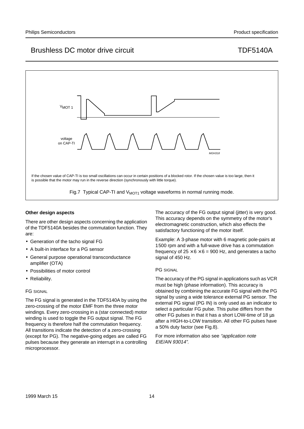

## **Other design aspects**

There are other design aspects concerning the application of the TDF5140A besides the commutation function. They are:

- Generation of the tacho signal FG
- A built-in interface for a PG sensor
- General purpose operational transconductance amplifier (OTA)
- Possibilities of motor control
- Reliability.

## FG SIGNAL

The FG signal is generated in the TDF5140A by using the zero-crossing of the motor EMF from the three motor windings. Every zero-crossing in a (star connected) motor winding is used to toggle the FG output signal. The FG frequency is therefore half the commutation frequency. All transitions indicate the detection of a zero-crossing (except for PG). The negative-going edges are called FG pulses because they generate an interrupt in a controlling microprocessor.

The accuracy of the FG output signal (jitter) is very good. This accuracy depends on the symmetry of the motor's electromagnetic construction, which also effects the satisfactory functioning of the motor itself.

Example: A 3-phase motor with 6 magnetic pole-pairs at 1500 rpm and with a full-wave drive has a commutation frequency of  $25 \times 6 \times 6 = 900$  Hz, and generates a tacho signal of 450 Hz.

### PG SIGNAL

The accuracy of the PG signal in applications such as VCR must be high (phase information). This accuracy is obtained by combining the accurate FG signal with the PG signal by using a wide tolerance external PG sensor. The external PG signal (PG IN) is only used as an indicator to select a particular FG pulse. This pulse differs from the other FG pulses in that it has a short LOW-time of 18 µs after a HIGH-to-LOW transition. All other FG pulses have a 50% duty factor (see Fig.8).

For more information also see "application note EIE/AN 93014".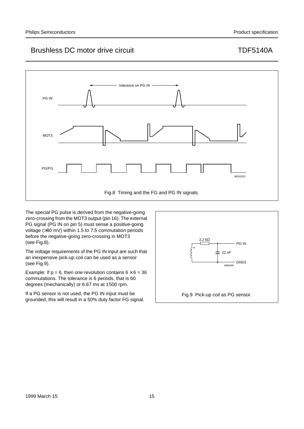

The special PG pulse is derived from the negative-going zero-crossing from the MOT3 output (pin 16). The external PG signal (PG IN on pin 5) must sense a positive-going voltage (>80 mV) within 1.5 to 7.5 commutation periods before the negative-going zero-crossing in MOT3 (see Fig.8).

The voltage requirements of the PG IN input are such that an inexpensive pick-up coil can be used as a sensor (see Fig.9).

Example: If  $p = 6$ , then one revolution contains  $6 \times 6 = 36$ commutations. The tolerance is 6 periods, that is 60 degrees (mechanically) or 6.67 ms at 1500 rpm.

If a PG sensor is not used, the PG IN input must be grounded, this will result in a 50% duty factor FG signal.

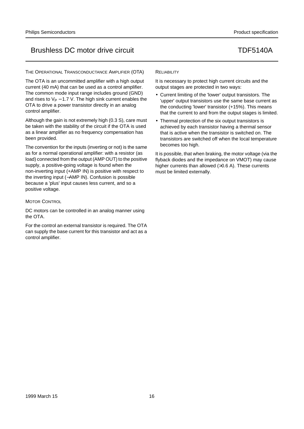THE OPERATIONAL TRANSCONDUCTANCE AMPLIFIER (OTA)

The OTA is an uncommitted amplifier with a high output current (40 mA) that can be used as a control amplifier. The common mode input range includes ground (GND) and rises to  $V_P$  – 1.7 V. The high sink current enables the OTA to drive a power transistor directly in an analog control amplifier.

Although the gain is not extremely high (0.3 S), care must be taken with the stability of the circuit if the OTA is used as a linear amplifier as no frequency compensation has been provided.

The convention for the inputs (inverting or not) is the same as for a normal operational amplifier: with a resistor (as load) connected from the output (AMP OUT) to the positive supply, a positive-going voltage is found when the non-inverting input (+AMP IN) is positive with respect to the inverting input (−AMP IN). Confusion is possible because a 'plus' input causes less current, and so a positive voltage.

## **MOTOR CONTROL**

DC motors can be controlled in an analog manner using the OTA.

For the control an external transistor is required. The OTA can supply the base current for this transistor and act as a control amplifier.

## **RELIABILITY**

It is necessary to protect high current circuits and the output stages are protected in two ways:

- Current limiting of the 'lower' output transistors. The 'upper' output transistors use the same base current as the conducting 'lower' transistor (+15%). This means that the current to and from the output stages is limited.
- Thermal protection of the six output transistors is achieved by each transistor having a thermal sensor that is active when the transistor is switched on. The transistors are switched off when the local temperature becomes too high.

It is possible, that when braking, the motor voltage (via the flyback diodes and the impedance on VMOT) may cause higher currents than allowed (>0.6 A). These currents must be limited externally.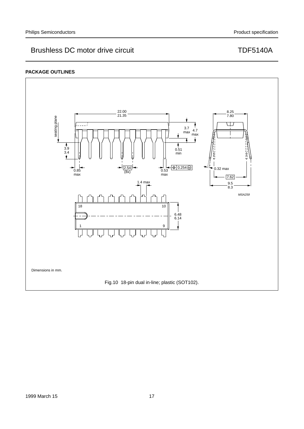## **PACKAGE OUTLINES**

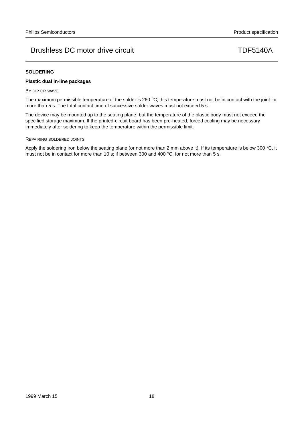## **SOLDERING**

## **Plastic dual in-line packages**

BY DIP OR WAVE

The maximum permissible temperature of the solder is 260 °C; this temperature must not be in contact with the joint for more than 5 s. The total contact time of successive solder waves must not exceed 5 s.

The device may be mounted up to the seating plane, but the temperature of the plastic body must not exceed the specified storage maximum. If the printed-circuit board has been pre-heated, forced cooling may be necessary immediately after soldering to keep the temperature within the permissible limit.

### REPAIRING SOLDERED JOINTS

Apply the soldering iron below the seating plane (or not more than 2 mm above it). If its temperature is below 300 °C, it must not be in contact for more than 10 s; if between 300 and 400 °C, for not more than 5 s.